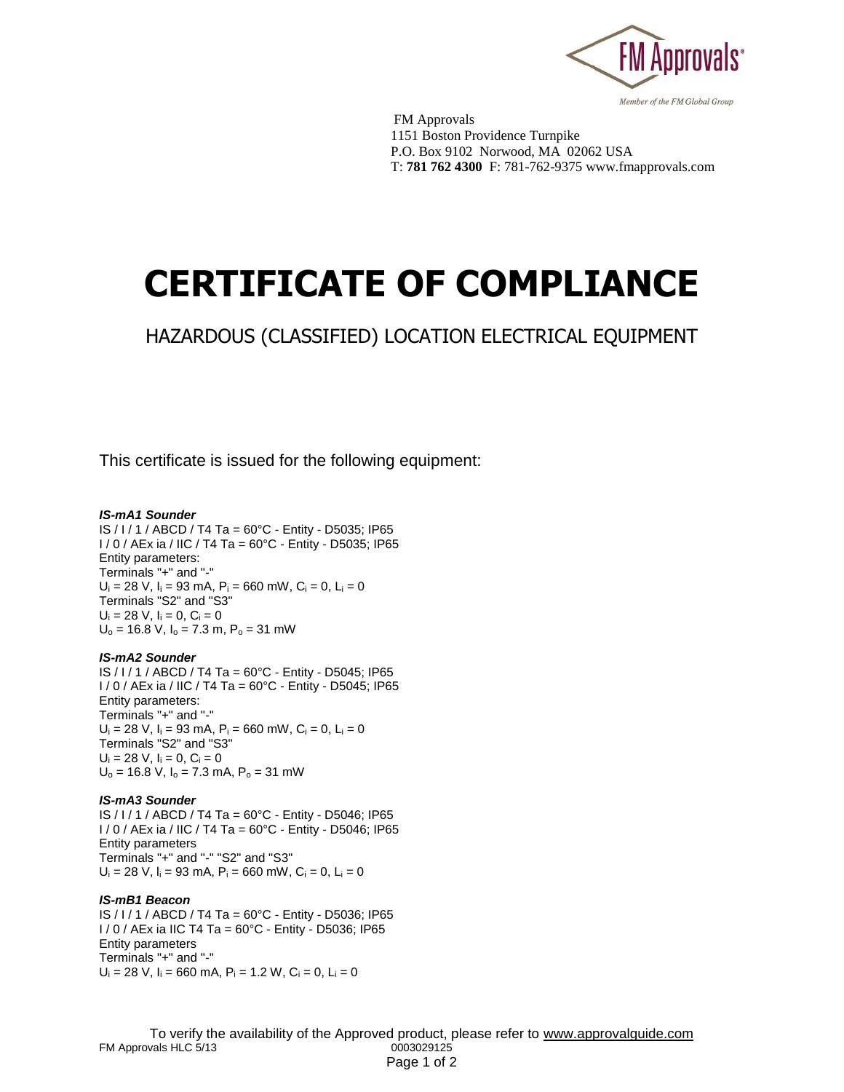

 FM Approvals 1151 Boston Providence Turnpike P.O. Box 9102 Norwood, MA 02062 USA T: **781 762 4300** F: 781-762-9375 www.fmapprovals.com

# **CERTIFICATE OF COMPLIANCE**

## HAZARDOUS (CLASSIFIED) LOCATION ELECTRICAL EQUIPMENT

This certificate is issued for the following equipment:

#### *IS-mA1 Sounder*

IS / I / 1 / ABCD / T4 Ta = 60°C - Entity - D5035; IP65 I / 0 / AEx ia / IIC / T4 Ta = 60°C - Entity - D5035; IP65 Entity parameters: Terminals "+" and "-"  $U_i = 28$  V,  $I_i = 93$  mA,  $P_i = 660$  mW,  $C_i = 0$ ,  $L_i = 0$ Terminals "S2" and "S3"  $U_i = 28$  V,  $I_i = 0$ ,  $C_i = 0$  $U_0 = 16.8$  V,  $I_0 = 7.3$  m,  $P_0 = 31$  mW

#### *IS-mA2 Sounder*

IS / I / 1 / ABCD / T4 Ta = 60°C - Entity - D5045; IP65 I / 0 / AEx ia / IIC / T4 Ta = 60°C - Entity - D5045; IP65 Entity parameters: Terminals "+" and "-"  $U_i = 28$  V,  $I_i = 93$  mA,  $P_i = 660$  mW,  $C_i = 0$ ,  $L_i = 0$ Terminals "S2" and "S3"  $U_i = 28$  V,  $I_i = 0$ ,  $C_i = 0$  $U_0$  = 16.8 V,  $I_0$  = 7.3 mA,  $P_0$  = 31 mW

#### *IS-mA3 Sounder*

IS / I / 1 / ABCD / T4 Ta = 60°C - Entity - D5046; IP65 I / 0 / AEx ia / IIC / T4 Ta = 60°C - Entity - D5046; IP65 Entity parameters Terminals "+" and "-" "S2" and "S3"  $U_i = 28$  V,  $I_i = 93$  mA,  $P_i = 660$  mW,  $C_i = 0$ ,  $L_i = 0$ 

#### *IS-mB1 Beacon*

IS / I / 1 / ABCD / T4 Ta = 60°C - Entity - D5036; IP65 I / 0 / AEx ia IIC T4 Ta = 60°C - Entity - D5036; IP65 Entity parameters Terminals "+" and "-"  $U_i = 28$  V,  $I_i = 660$  mA,  $P_i = 1.2$  W,  $C_i = 0$ ,  $L_i = 0$